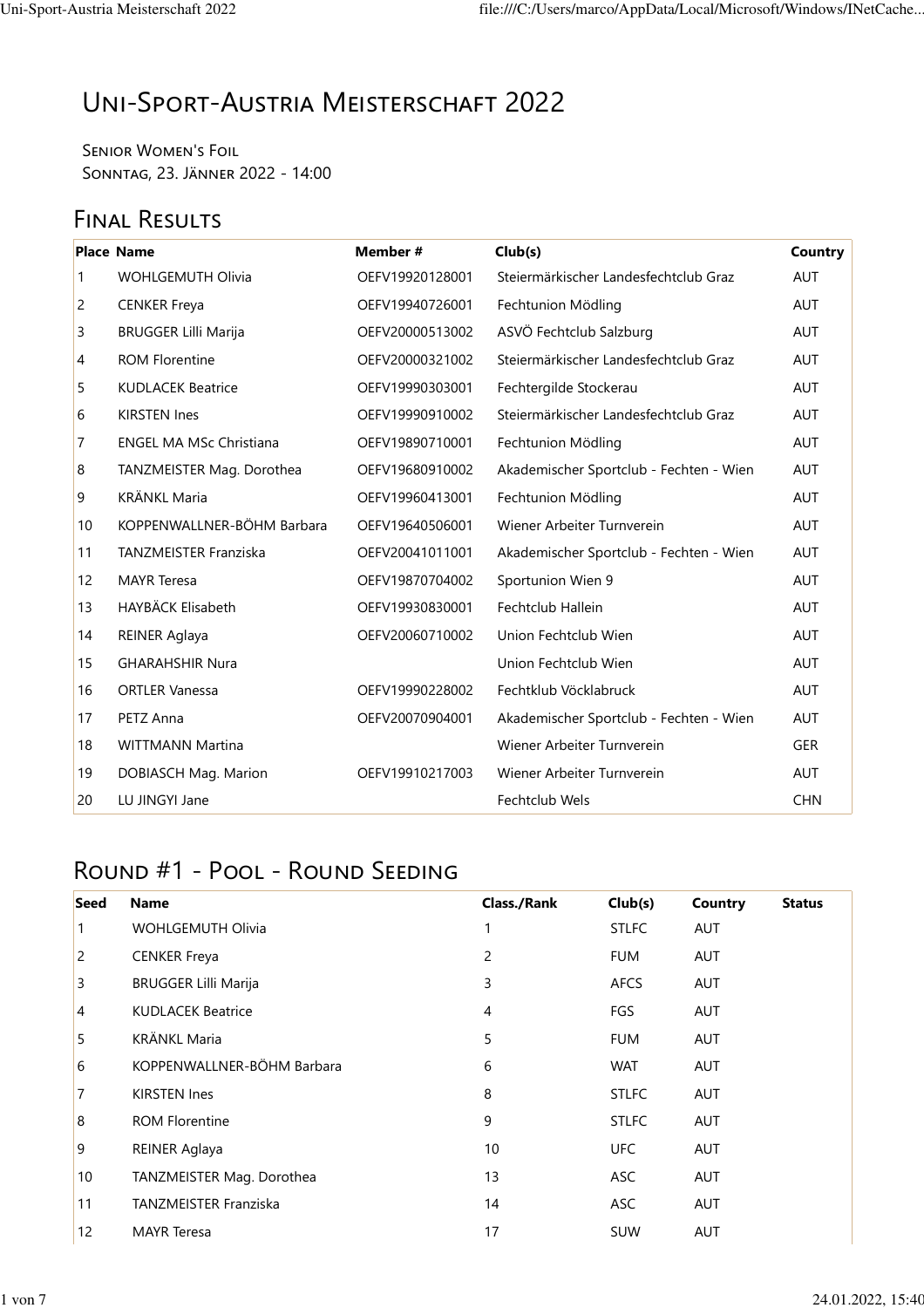# Uni-Sport-Austria Meisterschaft 2022

Senior Women's Foil Sonntag, 23. Jänner 2022 - 14:00

### FINAL RESULTS

|    | <b>Place Name</b>              | Member#         | Club(s)                                 | Country    |
|----|--------------------------------|-----------------|-----------------------------------------|------------|
| 1  | <b>WOHLGEMUTH Olivia</b>       | OEFV19920128001 | Steiermärkischer Landesfechtclub Graz   | <b>AUT</b> |
| 2  | <b>CENKER Freya</b>            | OEFV19940726001 | Fechtunion Mödling                      | <b>AUT</b> |
| 3  | <b>BRUGGER Lilli Marija</b>    | OEFV20000513002 | ASVÖ Fechtclub Salzburg                 | <b>AUT</b> |
| 4  | <b>ROM Florentine</b>          | OEFV20000321002 | Steiermärkischer Landesfechtclub Graz   | <b>AUT</b> |
| 5  | <b>KUDLACEK Beatrice</b>       | OEFV19990303001 | Fechtergilde Stockerau                  | <b>AUT</b> |
| 6  | <b>KIRSTEN Ines</b>            | OEFV19990910002 | Steiermärkischer Landesfechtclub Graz   | <b>AUT</b> |
| 7  | <b>ENGEL MA MSc Christiana</b> | OEFV19890710001 | Fechtunion Mödling                      | <b>AUT</b> |
| 8  | TANZMEISTER Mag. Dorothea      | OEFV19680910002 | Akademischer Sportclub - Fechten - Wien | AUT        |
| 9  | <b>KRÄNKL Maria</b>            | OEFV19960413001 | Fechtunion Mödling                      | <b>AUT</b> |
| 10 | KOPPENWALLNER-BÖHM Barbara     | OEFV19640506001 | Wiener Arbeiter Turnverein              | AUT        |
| 11 | <b>TANZMEISTER Franziska</b>   | OEFV20041011001 | Akademischer Sportclub - Fechten - Wien | <b>AUT</b> |
| 12 | <b>MAYR</b> Teresa             | OEFV19870704002 | Sportunion Wien 9                       | <b>AUT</b> |
| 13 | HAYBÄCK Elisabeth              | OEFV19930830001 | Fechtclub Hallein                       | <b>AUT</b> |
| 14 | <b>REINER Aglaya</b>           | OEFV20060710002 | Union Fechtclub Wien                    | AUT        |
| 15 | <b>GHARAHSHIR Nura</b>         |                 | Union Fechtclub Wien                    | <b>AUT</b> |
| 16 | <b>ORTLER Vanessa</b>          | OEFV19990228002 | Fechtklub Vöcklabruck                   | <b>AUT</b> |
| 17 | PETZ Anna                      | OEFV20070904001 | Akademischer Sportclub - Fechten - Wien | <b>AUT</b> |
| 18 | <b>WITTMANN Martina</b>        |                 | Wiener Arbeiter Turnverein              | <b>GER</b> |
| 19 | DOBIASCH Mag. Marion           | OEFV19910217003 | Wiener Arbeiter Turnverein              | <b>AUT</b> |
| 20 | LU JINGYI Jane                 |                 | Fechtclub Wels                          | <b>CHN</b> |

## Round #1 - Pool - Round Seeding

| <b>Seed</b> | <b>Name</b>                 | <b>Class./Rank</b> | Club(s)      | Country<br><b>Status</b> |
|-------------|-----------------------------|--------------------|--------------|--------------------------|
| 1           | <b>WOHLGEMUTH Olivia</b>    |                    | <b>STLFC</b> | <b>AUT</b>               |
| 2           | <b>CENKER Freya</b>         | 2                  | <b>FUM</b>   | <b>AUT</b>               |
| 3           | <b>BRUGGER Lilli Marija</b> | 3                  | <b>AFCS</b>  | <b>AUT</b>               |
| 4           | <b>KUDLACEK Beatrice</b>    | $\overline{4}$     | FGS          | <b>AUT</b>               |
| 5           | KRÄNKL Maria                | 5                  | <b>FUM</b>   | <b>AUT</b>               |
| 6           | KOPPENWALLNER-BÖHM Barbara  | 6                  | <b>WAT</b>   | <b>AUT</b>               |
| 7           | <b>KIRSTEN Ines</b>         | 8                  | <b>STLFC</b> | <b>AUT</b>               |
| 8           | <b>ROM Florentine</b>       | 9                  | <b>STLFC</b> | <b>AUT</b>               |
| 9           | REINER Aglaya               | 10                 | UFC          | <b>AUT</b>               |
| 10          | TANZMEISTER Mag. Dorothea   | 13                 | ASC          | <b>AUT</b>               |
| 11          | TANZMEISTER Franziska       | 14                 | ASC          | <b>AUT</b>               |
| 12          | <b>MAYR</b> Teresa          | 17                 | <b>SUW</b>   | <b>AUT</b>               |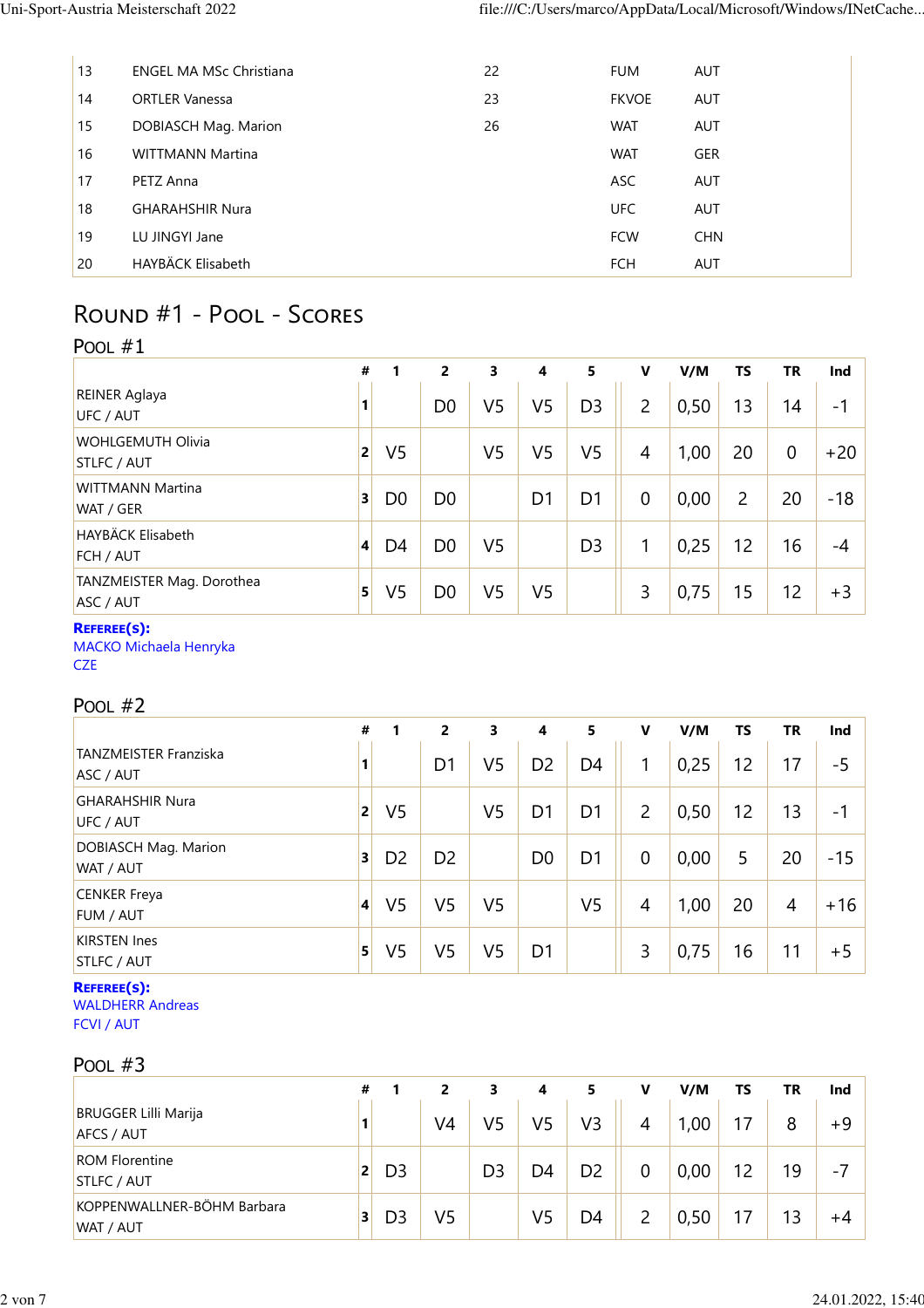| 13 | <b>ENGEL MA MSc Christiana</b> | 22 | <b>FUM</b>   | <b>AUT</b> |
|----|--------------------------------|----|--------------|------------|
| 14 | <b>ORTLER Vanessa</b>          | 23 | <b>FKVOE</b> | <b>AUT</b> |
| 15 | <b>DOBIASCH Mag. Marion</b>    | 26 | <b>WAT</b>   | <b>AUT</b> |
| 16 | <b>WITTMANN Martina</b>        |    | <b>WAT</b>   | <b>GER</b> |
| 17 | PETZ Anna                      |    | ASC          | <b>AUT</b> |
| 18 | <b>GHARAHSHIR Nura</b>         |    | <b>UFC</b>   | <b>AUT</b> |
| 19 | LU JINGYI Jane                 |    | <b>FCW</b>   | <b>CHN</b> |
| 20 | HAYBÄCK Elisabeth              |    | <b>FCH</b>   | <b>AUT</b> |

### Round #1 - Pool - Scores

| POOL $#1$                                      |                |                |                |                |                |                |             |      |                |             |       |
|------------------------------------------------|----------------|----------------|----------------|----------------|----------------|----------------|-------------|------|----------------|-------------|-------|
|                                                | #              | 1              | 2              | 3              | 4              | 5              | v           | V/M  | TS             | <b>TR</b>   | Ind   |
| <b>REINER Aglaya</b><br>UFC / AUT              |                |                | D <sub>0</sub> | V <sub>5</sub> | V <sub>5</sub> | D <sub>3</sub> | 2           | 0,50 | 13             | 14          | $-1$  |
| <b>WOHLGEMUTH Olivia</b><br><b>STLFC / AUT</b> | 2              | V <sub>5</sub> |                | V <sub>5</sub> | V5             | V <sub>5</sub> | 4           | 1,00 | 20             | $\mathbf 0$ | $+20$ |
| <b>WITTMANN Martina</b><br>WAT / GER           | 3              | D <sub>0</sub> | D <sub>0</sub> |                | D <sub>1</sub> | D <sub>1</sub> | $\mathbf 0$ | 0,00 | $\overline{2}$ | 20          | $-18$ |
| <b>HAYBÄCK Elisabeth</b><br><b>FCH / AUT</b>   | 4              | D4             | D <sub>0</sub> | V <sub>5</sub> |                | D <sub>3</sub> | 1           | 0,25 | 12             | 16          | -4    |
| TANZMEISTER Mag. Dorothea<br>ASC / AUT         | 5 <sup>1</sup> | V <sub>5</sub> | D <sub>0</sub> | V <sub>5</sub> | V <sub>5</sub> |                | 3           | 0,75 | 15             | 12          | $+3$  |

#### **REFEREE(S):**

MACKO Michaela Henryka

**CZE** 

### POOL #2

|                                            | #              |                | $\overline{2}$ | 3              | 4              | 5              | V              | V/M  | ΤS | TR | Ind   |
|--------------------------------------------|----------------|----------------|----------------|----------------|----------------|----------------|----------------|------|----|----|-------|
| <b>TANZMEISTER Franziska</b><br>ASC / AUT  |                |                | D <sub>1</sub> | V5             | D <sub>2</sub> | D4             | 1              | 0,25 | 12 | 17 | -5    |
| <b>GHARAHSHIR Nura</b><br><b>UFC / AUT</b> | $\mathbf{2}$   | V <sub>5</sub> |                | V <sub>5</sub> | D <sub>1</sub> | D <sub>1</sub> | $\overline{2}$ | 0,50 | 12 | 13 | $-1$  |
| <b>DOBIASCH Mag. Marion</b><br>WAT / AUT   | 3              | D <sub>2</sub> | D <sub>2</sub> |                | D <sub>0</sub> | D <sub>1</sub> | 0              | 0,00 | 5  | 20 | $-15$ |
| <b>CENKER</b> Freya<br><b>FUM / AUT</b>    | $\vert$        | V <sub>5</sub> | V5             | V <sub>5</sub> |                | V <sub>5</sub> | 4              | 1,00 | 20 | 4  | $+16$ |
| <b>KIRSTEN Ines</b><br><b>STLFC / AUT</b>  | 5 <sup>1</sup> | V <sub>5</sub> | V5             | V5             | D <sub>1</sub> |                | 3              | 0,75 | 16 | 11 | $+5$  |

**REFEREE(S):**

WALDHERR Andreas FCVI / AUT

POOL #3

|                                           | #         |                |                | 3.             | 4  |                | v             | V/M  | TS | TR | Ind  |
|-------------------------------------------|-----------|----------------|----------------|----------------|----|----------------|---------------|------|----|----|------|
| <b>BRUGGER Lilli Marija</b><br>AFCS / AUT |           |                | V4             | V5             | V5 | V3             | 4             | 1,00 | 17 | 8  | $+9$ |
| <b>ROM Florentine</b><br>STLFC / AUT      | $\vert$ 2 | D <sub>3</sub> |                | D <sub>3</sub> | D4 | D <sub>2</sub> | $\mathbf 0$   | 0,00 | 12 | 19 | $-7$ |
| KOPPENWALLNER-BÖHM Barbara<br>WAT / AUT   | 3         | D3             | V <sub>5</sub> |                | V5 | D4             | $\mathcal{D}$ |      | 17 | 13 | $+4$ |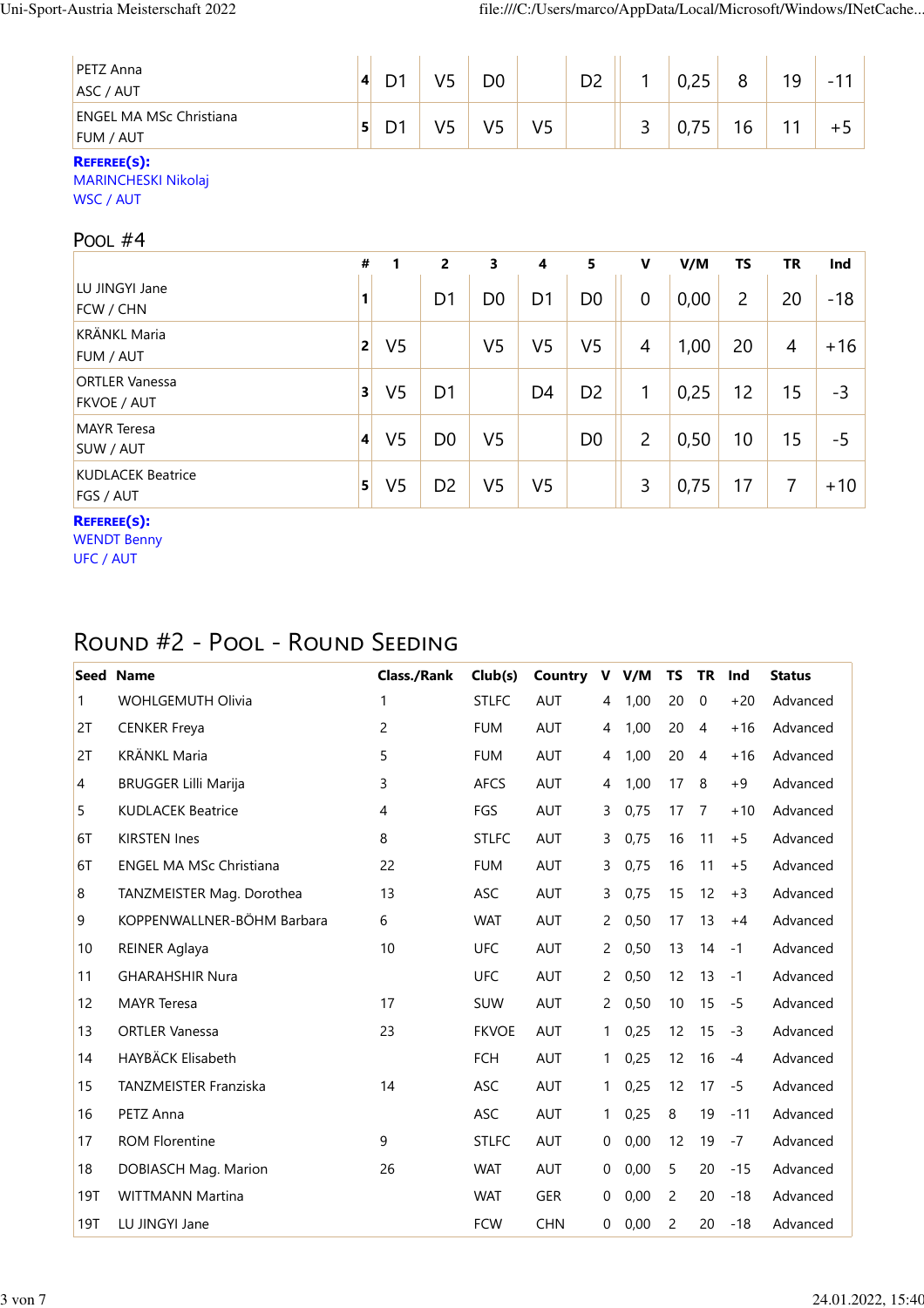| <b>PETZ Anna</b><br>ASC / AUT                      | 4 | $\sqrt{2}$ | r∩      |    | r o<br>◡▵ |   | $\cap$<br>◡,∟◡                     | 8  | 19             | - 1- 1<br>$\overline{\phantom{0}}$ |
|----------------------------------------------------|---|------------|---------|----|-----------|---|------------------------------------|----|----------------|------------------------------------|
| <b>ENGEL MA MSc Christiana</b><br><b>FUM / AUT</b> |   | $\sqrt{2}$ | いに<br>ٮ | V5 |           | ٮ | --<br>$\mathsf{v},\mathsf{r}$<br>ັ | 16 | $\overline{a}$ |                                    |

#### **REFEREE(S):**

MARINCHESKI Nikolaj WSC / AUT

### POOL #4

|                                             | # |                | 2              | 3              | 4              | 5              | ۷              | V/M  | ΤS             | ΤR | Ind   |
|---------------------------------------------|---|----------------|----------------|----------------|----------------|----------------|----------------|------|----------------|----|-------|
| LU JINGYI Jane<br>FCW / CHN                 |   |                | D <sub>1</sub> | D <sub>0</sub> | D <sub>1</sub> | D <sub>0</sub> | 0              | 0,00 | $\overline{2}$ | 20 | $-18$ |
| <b>KRÄNKL Maria</b><br>FUM / AUT            | 2 | V <sub>5</sub> |                | V5             | V <sub>5</sub> | V5             | 4              | 1,00 | 20             | 4  | $+16$ |
| <b>ORTLER Vanessa</b><br><b>FKVOE / AUT</b> | 3 | V <sub>5</sub> | D <sub>1</sub> |                | D <sub>4</sub> | D <sub>2</sub> | 1              | 0,25 | 12             | 15 | $-3$  |
| <b>MAYR</b> Teresa<br><b>SUW / AUT</b>      | 4 | V <sub>5</sub> | D <sub>0</sub> | V <sub>5</sub> |                | D <sub>0</sub> | $\overline{c}$ | 0,50 | 10             | 15 | $-5$  |
| <b>KUDLACEK Beatrice</b><br>FGS / AUT       | 5 | V <sub>5</sub> | D <sub>2</sub> | V5             | V5             |                | 3              | 0,75 | 17             | 7  | $+10$ |

**REFEREE(S):**

WENDT Benny UFC / AUT

## Round #2 - Pool - Round Seeding

|     | <b>Seed Name</b>               | <b>Class./Rank</b> | Club(s)      | Country    | $\mathbf v$    | V/M  | <b>TS</b> | <b>TR</b>      | Ind   | <b>Status</b> |
|-----|--------------------------------|--------------------|--------------|------------|----------------|------|-----------|----------------|-------|---------------|
| 1   | <b>WOHLGEMUTH Olivia</b>       | 1                  | <b>STLFC</b> | <b>AUT</b> | 4              | 1,00 | 20        | 0              | $+20$ | Advanced      |
| 2T  | <b>CENKER Freya</b>            | $\overline{c}$     | <b>FUM</b>   | <b>AUT</b> | 4              | 1,00 | 20        | 4              | $+16$ | Advanced      |
| 2T  | <b>KRÄNKL Maria</b>            | 5                  | <b>FUM</b>   | <b>AUT</b> | 4              | 1,00 | 20        | $\overline{4}$ | $+16$ | Advanced      |
| 4   | <b>BRUGGER Lilli Marija</b>    | 3                  | <b>AFCS</b>  | <b>AUT</b> | 4              | 1,00 | 17        | 8              | $+9$  | Advanced      |
| 5   | <b>KUDLACEK Beatrice</b>       | 4                  | FGS          | <b>AUT</b> | 3              | 0,75 | 17        | 7              | $+10$ | Advanced      |
| 6T  | <b>KIRSTEN Ines</b>            | 8                  | <b>STLFC</b> | <b>AUT</b> | 3              | 0,75 | 16        | 11             | $+5$  | Advanced      |
| 6T  | <b>ENGEL MA MSc Christiana</b> | 22                 | <b>FUM</b>   | <b>AUT</b> | 3              | 0,75 | 16        | 11             | $+5$  | Advanced      |
| 8   | TANZMEISTER Mag. Dorothea      | 13                 | ASC          | <b>AUT</b> | 3              | 0,75 | 15        | 12             | $+3$  | Advanced      |
| 9   | KOPPENWALLNER-BÖHM Barbara     | 6                  | <b>WAT</b>   | <b>AUT</b> | $\overline{2}$ | 0,50 | 17        | 13             | $+4$  | Advanced      |
| 10  | REINER Aglaya                  | 10                 | <b>UFC</b>   | <b>AUT</b> | 2              | 0,50 | 13        | 14             | $-1$  | Advanced      |
| 11  | <b>GHARAHSHIR Nura</b>         |                    | <b>UFC</b>   | <b>AUT</b> | 2              | 0,50 | 12        | 13             | $-1$  | Advanced      |
| 12  | <b>MAYR</b> Teresa             | 17                 | <b>SUW</b>   | AUT        | 2              | 0,50 | 10        | 15             | $-5$  | Advanced      |
| 13  | <b>ORTLER Vanessa</b>          | 23                 | <b>FKVOE</b> | <b>AUT</b> | 1              | 0,25 | 12        | 15             | $-3$  | Advanced      |
| 14  | <b>HAYBÄCK Elisabeth</b>       |                    | <b>FCH</b>   | <b>AUT</b> | 1              | 0,25 | 12        | 16             | $-4$  | Advanced      |
| 15  | TANZMEISTER Franziska          | 14                 | ASC          | <b>AUT</b> | 1              | 0,25 | 12        | 17             | $-5$  | Advanced      |
| 16  | PETZ Anna                      |                    | <b>ASC</b>   | <b>AUT</b> | 1              | 0,25 | 8         | 19             | $-11$ | Advanced      |
| 17  | <b>ROM Florentine</b>          | 9                  | <b>STLFC</b> | <b>AUT</b> | 0              | 0,00 | 12        | 19             | $-7$  | Advanced      |
| 18  | DOBIASCH Mag. Marion           | 26                 | <b>WAT</b>   | <b>AUT</b> | 0              | 0,00 | 5         | 20             | $-15$ | Advanced      |
| 19T | <b>WITTMANN Martina</b>        |                    | <b>WAT</b>   | <b>GER</b> | 0              | 0,00 | 2         | 20             | $-18$ | Advanced      |
| 19T | LU JINGYI Jane                 |                    | <b>FCW</b>   | <b>CHN</b> | 0              | 0,00 | 2         | 20             | $-18$ | Advanced      |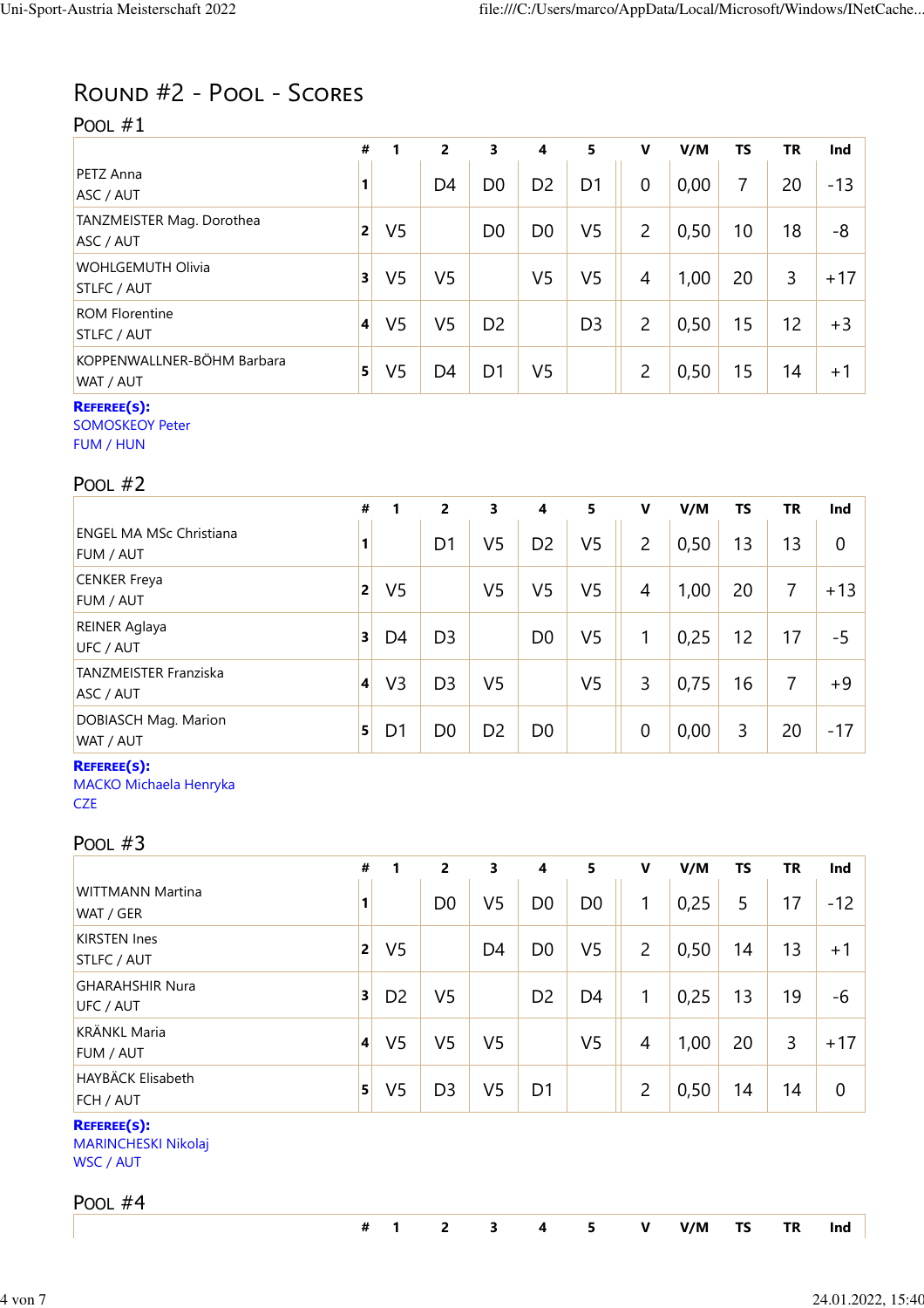### Round #2 - Pool - Scores

#### POOL #1

|                                                | # |                | 2  | 3              | 4              | 5              | v              | V/M  | TS | TR | Ind   |
|------------------------------------------------|---|----------------|----|----------------|----------------|----------------|----------------|------|----|----|-------|
| PETZ Anna<br>ASC / AUT                         |   |                | D4 | D0             | D <sub>2</sub> | D <sub>1</sub> | $\mathbf 0$    | 0,00 | 7  | 20 | $-13$ |
| TANZMEISTER Mag. Dorothea<br>ASC / AUT         | 2 | V <sub>5</sub> |    | D <sub>0</sub> | D <sub>0</sub> | V <sub>5</sub> | $\overline{2}$ | 0,50 | 10 | 18 | -8    |
| <b>WOHLGEMUTH Olivia</b><br><b>STLFC / AUT</b> | 3 | V <sub>5</sub> | V5 |                | V <sub>5</sub> | V <sub>5</sub> | 4              | 1,00 | 20 | 3  | $+17$ |
| <b>ROM Florentine</b><br>STLFC / AUT           | 4 | V <sub>5</sub> | V5 | D <sub>2</sub> |                | D <sub>3</sub> | $\overline{2}$ | 0,50 | 15 | 12 | $+3$  |
| KOPPENWALLNER-BÖHM Barbara<br>WAT / AUT        | 5 | V <sub>5</sub> | D4 | D <sub>1</sub> | V5             |                | $\overline{2}$ | 0,50 | 15 | 14 | $+1$  |

#### **REFEREE(S):**

SOMOSKEOY Peter

FUM / HUN

### POOL #2

|                                                    | #         | 1              | $\overline{2}$ | 3              | 4              | 5              | $\mathbf v$ | V/M  | ΤS | TR             | Ind            |
|----------------------------------------------------|-----------|----------------|----------------|----------------|----------------|----------------|-------------|------|----|----------------|----------------|
| <b>ENGEL MA MSc Christiana</b><br><b>FUM / AUT</b> |           |                | D <sub>1</sub> | V <sub>5</sub> | D <sub>2</sub> | V5             | 2           | 0,50 | 13 | 13             | $\overline{0}$ |
| <b>CENKER Freya</b><br><b>FUM / AUT</b>            | 2         | V <sub>5</sub> |                | V <sub>5</sub> | V5             | V <sub>5</sub> | 4           | 1,00 | 20 | $\overline{7}$ | $+13$          |
| <b>REINER Aglaya</b><br><b>UFC / AUT</b>           | 3         | D4             | D <sub>3</sub> |                | D <sub>0</sub> | V <sub>5</sub> | 1           | 0,25 | 12 | 17             | $-5$           |
| <b>TANZMEISTER Franziska</b><br>ASC / AUT          | $\vert$ 4 | V <sub>3</sub> | D <sub>3</sub> | V <sub>5</sub> |                | V <sub>5</sub> | 3           | 0,75 | 16 | 7              | $+9$           |
| <b>DOBIASCH Mag. Marion</b><br>WAT / AUT           | 5         | D <sub>1</sub> | D <sub>0</sub> | D <sub>2</sub> | D <sub>0</sub> |                | $\mathbf 0$ | 0,00 | 3  | 20             | $-17$          |

#### **REFEREE(S):**

MACKO Michaela Henryka **CZE** 

#### POOL #3

|                                                               | #        | 1              | 2              | 3              | 4              | 5.             | V              | V/M  | TS | TR | Ind         |
|---------------------------------------------------------------|----------|----------------|----------------|----------------|----------------|----------------|----------------|------|----|----|-------------|
| <b>WITTMANN Martina</b><br>WAT / GER                          | 1        |                | D <sub>0</sub> | V <sub>5</sub> | D <sub>0</sub> | D <sub>0</sub> | 1              | 0,25 | 5  | 17 | $-12$       |
| <b>KIRSTEN Ines</b><br><b>STLFC / AUT</b>                     | <b>2</b> | V <sub>5</sub> |                | D <sub>4</sub> | D <sub>0</sub> | V <sub>5</sub> | $\overline{2}$ | 0,50 | 14 | 13 | $+1$        |
| <b>GHARAHSHIR Nura</b><br>UFC / AUT                           | 3        | D <sub>2</sub> | V <sub>5</sub> |                | D <sub>2</sub> | D <sub>4</sub> | 1              | 0,25 | 13 | 19 | -6          |
| <b>KRÄNKL Maria</b><br>FUM / AUT                              | 4        | V <sub>5</sub> | V <sub>5</sub> | V <sub>5</sub> |                | V <sub>5</sub> | 4              | 1,00 | 20 | 3  | $+17$       |
| <b>HAYBÄCK Elisabeth</b><br><b>FCH / AUT</b>                  | 5        | V <sub>5</sub> | D <sub>3</sub> | V <sub>5</sub> | D <sub>1</sub> |                | $\overline{2}$ | 0,50 | 14 | 14 | $\mathbf 0$ |
| <b>REFEREE(S):</b><br><b>MARINCHESKI Nikolaj</b><br>WSC / AUT |          |                |                |                |                |                |                |      |    |    |             |
| POOL $#4$                                                     |          |                |                |                |                |                |                |      |    |    |             |

**# 1 2 3 4 5 V V/M TS TR Ind**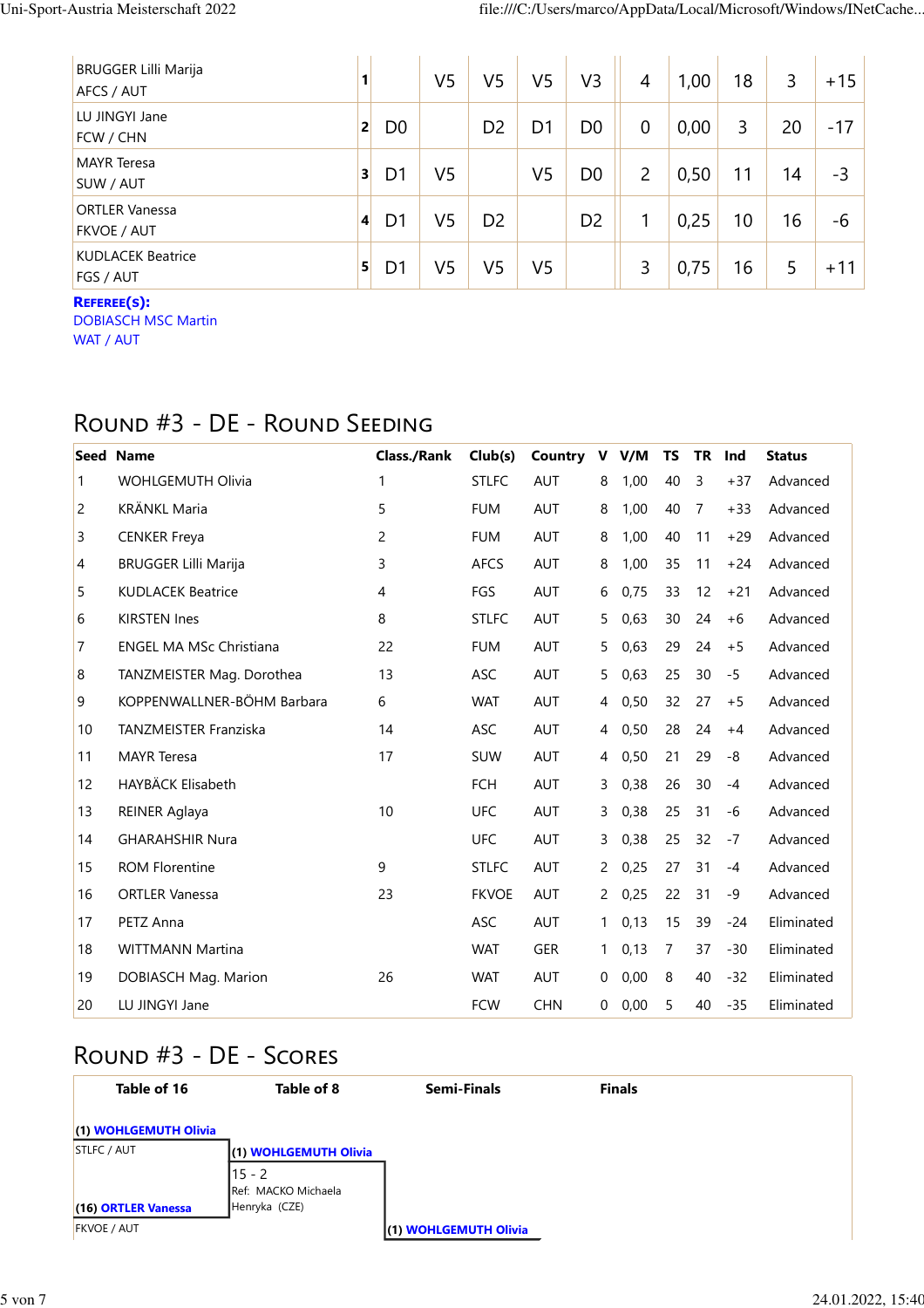| <b>BRUGGER Lilli Marija</b><br>AFCS / AUT |                |                | V <sub>5</sub> | V <sub>5</sub> | V5             | V3             | 4 | 1,00 | 18 | 3  | $+15$ |
|-------------------------------------------|----------------|----------------|----------------|----------------|----------------|----------------|---|------|----|----|-------|
| LU JINGYI Jane<br>FCW / CHN               | 2 <sup>1</sup> | D <sub>0</sub> |                | D <sub>2</sub> | D1             | D <sub>0</sub> | 0 | 0,00 | 3  | 20 | $-17$ |
| <b>MAYR</b> Teresa<br>SUW / AUT           | $\vert$ 3      | D <sub>1</sub> | V5             |                | V <sub>5</sub> | D <sub>0</sub> | 2 | 0,50 | 11 | 14 | -3    |
| <b>ORTLER Vanessa</b><br>FKVOE / AUT      | $\vert$ 4      | D <sub>1</sub> | V5             | D <sub>2</sub> |                | D <sub>2</sub> |   | 0,25 | 10 | 16 | -6    |
| <b>KUDLACEK Beatrice</b><br>FGS / AUT     | 5 <sup>1</sup> | D <sub>1</sub> | V5             | V5             | V5             |                | 3 | 0,75 | 16 | 5  | $+11$ |

#### **REFEREE(S):**

DOBIASCH MSC Martin WAT / AUT

## Round #3 - DE - Round Seeding

|                | <b>Seed Name</b>               | <b>Class./Rank</b> | Club(s)      | Country    | V                     | V/M  | TS | <b>TR</b>      | Ind   | <b>Status</b> |
|----------------|--------------------------------|--------------------|--------------|------------|-----------------------|------|----|----------------|-------|---------------|
| 1              | <b>WOHLGEMUTH Olivia</b>       | 1                  | <b>STLFC</b> | AUT        | 8                     | 1,00 | 40 | 3              | $+37$ | Advanced      |
| $\overline{c}$ | <b>KRÄNKL Maria</b>            | 5                  | <b>FUM</b>   | <b>AUT</b> | 8                     | 1,00 | 40 | $\overline{7}$ | $+33$ | Advanced      |
| 3              | <b>CENKER Freya</b>            | $\overline{c}$     | <b>FUM</b>   | AUT        | 8                     | 1,00 | 40 | 11             | $+29$ | Advanced      |
| 4              | <b>BRUGGER Lilli Marija</b>    | 3                  | <b>AFCS</b>  | AUT        | 8                     | 1,00 | 35 | 11             | $+24$ | Advanced      |
| 5              | <b>KUDLACEK Beatrice</b>       | 4                  | FGS          | AUT        | 6                     | 0,75 | 33 | 12             | $+21$ | Advanced      |
| 6              | <b>KIRSTEN Ines</b>            | 8                  | <b>STLFC</b> | AUT        | 5                     | 0,63 | 30 | 24             | $+6$  | Advanced      |
| 7              | <b>ENGEL MA MSc Christiana</b> | 22                 | <b>FUM</b>   | AUT        | 5                     | 0,63 | 29 | 24             | $+5$  | Advanced      |
| 8              | TANZMEISTER Mag. Dorothea      | 13                 | <b>ASC</b>   | AUT        | 5                     | 0,63 | 25 | 30             | $-5$  | Advanced      |
| 9              | KOPPENWALLNER-BÖHM Barbara     | 6                  | <b>WAT</b>   | AUT        | 4                     | 0,50 | 32 | 27             | $+5$  | Advanced      |
| 10             | <b>TANZMEISTER Franziska</b>   | 14                 | <b>ASC</b>   | AUT        | 4                     | 0,50 | 28 | 24             | $+4$  | Advanced      |
| 11             | <b>MAYR</b> Teresa             | 17                 | <b>SUW</b>   | <b>AUT</b> | 4                     | 0.50 | 21 | 29             | $-8$  | Advanced      |
| 12             | HAYBÄCK Elisabeth              |                    | <b>FCH</b>   | AUT        | 3                     | 0,38 | 26 | 30             | $-4$  | Advanced      |
| 13             | <b>REINER Aglaya</b>           | 10                 | <b>UFC</b>   | AUT        | 3                     | 0,38 | 25 | 31             | $-6$  | Advanced      |
| 14             | <b>GHARAHSHIR Nura</b>         |                    | <b>UFC</b>   | AUT        | 3                     | 0,38 | 25 | 32             | $-7$  | Advanced      |
| 15             | <b>ROM Florentine</b>          | 9                  | <b>STLFC</b> | AUT        | $\mathbf{2}^{\prime}$ | 0,25 | 27 | 31             | $-4$  | Advanced      |
| 16             | <b>ORTLER Vanessa</b>          | 23                 | <b>FKVOE</b> | <b>AUT</b> | $\mathbf{2}^{\prime}$ | 0,25 | 22 | 31             | $-9$  | Advanced      |
| 17             | PETZ Anna                      |                    | <b>ASC</b>   | <b>AUT</b> | 1.                    | 0,13 | 15 | 39             | $-24$ | Eliminated    |
| 18             | <b>WITTMANN Martina</b>        |                    | <b>WAT</b>   | <b>GER</b> | 1.                    | 0,13 | 7  | 37             | $-30$ | Eliminated    |
| 19             | DOBIASCH Mag. Marion           | 26                 | <b>WAT</b>   | AUT        | 0                     | 0,00 | 8  | 40             | $-32$ | Eliminated    |
| 20             | LU JINGYI Jane                 |                    | <b>FCW</b>   | <b>CHN</b> | 0                     | 0,00 | 5  | 40             | $-35$ | Eliminated    |

## Round #3 - DE - Scores

| Table of 16           | Table of 8            | <b>Semi-Finals</b>    | <b>Finals</b> |  |
|-----------------------|-----------------------|-----------------------|---------------|--|
| (1) WOHLGEMUTH Olivia |                       |                       |               |  |
| <b>STLFC / AUT</b>    | (1) WOHLGEMUTH Olivia |                       |               |  |
|                       | 15 - 2                |                       |               |  |
|                       | Ref: MACKO Michaela   |                       |               |  |
| (16) ORTLER Vanessa   | Henryka (CZE)         |                       |               |  |
| <b>FKVOE / AUT</b>    |                       | (1) WOHLGEMUTH Olivia |               |  |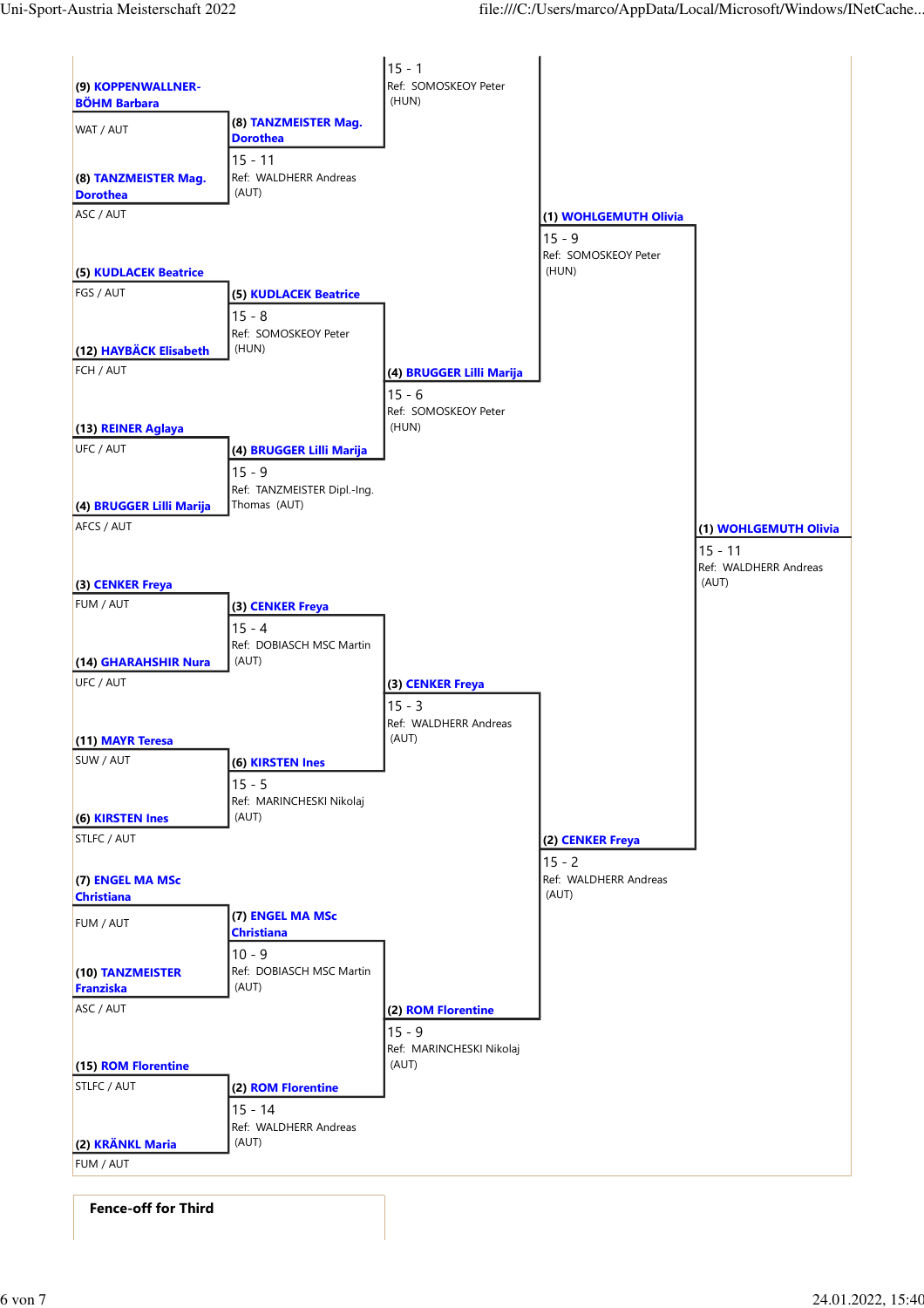| (9) KOPPENWALLNER-<br><b>BÖHM Barbara</b> |                                             | $15 - 1$<br>Ref: SOMOSKEOY Peter<br>(HUN) |                                  |                                    |
|-------------------------------------------|---------------------------------------------|-------------------------------------------|----------------------------------|------------------------------------|
| WAT / AUT                                 | (8) TANZMEISTER Mag.<br><b>Dorothea</b>     |                                           |                                  |                                    |
| (8) TANZMEISTER Mag.<br><b>Dorothea</b>   | $15 - 11$<br>Ref: WALDHERR Andreas<br>(AUT) |                                           |                                  |                                    |
| ASC / AUT                                 |                                             |                                           | (1) WOHLGEMUTH Olivia            |                                    |
|                                           |                                             |                                           | $15 - 9$<br>Ref: SOMOSKEOY Peter |                                    |
| (5) KUDLACEK Beatrice                     |                                             |                                           | (HUN)                            |                                    |
| FGS / AUT                                 | (5) KUDLACEK Beatrice                       |                                           |                                  |                                    |
|                                           | $15 - 8$<br>Ref: SOMOSKEOY Peter            |                                           |                                  |                                    |
| (12) HAYBÄCK Elisabeth                    | (HUN)                                       |                                           |                                  |                                    |
| FCH / AUT                                 |                                             | (4) BRUGGER Lilli Marija                  |                                  |                                    |
|                                           |                                             | $15 - 6$<br>Ref: SOMOSKEOY Peter          |                                  |                                    |
| (13) REINER Aglaya<br>UFC / AUT           |                                             | (HUN)                                     |                                  |                                    |
|                                           | (4) BRUGGER Lilli Marija<br>$15 - 9$        |                                           |                                  |                                    |
|                                           | Ref: TANZMEISTER Dipl.-Ing.                 |                                           |                                  |                                    |
| (4) BRUGGER Lilli Marija                  | Thomas (AUT)                                |                                           |                                  |                                    |
| AFCS / AUT                                |                                             |                                           |                                  | (1) WOHLGEMUTH Olivia              |
|                                           |                                             |                                           |                                  | $15 - 11$<br>Ref: WALDHERR Andreas |
| (3) CENKER Freya                          |                                             |                                           |                                  | (AUT)                              |
| FUM / AUT                                 | (3) CENKER Freya                            |                                           |                                  |                                    |
|                                           | $15 - 4$<br>Ref: DOBIASCH MSC Martin        |                                           |                                  |                                    |
| (14) GHARAHSHIR Nura                      | (AUT)                                       |                                           |                                  |                                    |
| UFC / AUT                                 |                                             | (3) CENKER Freya<br>$15 - 3$              |                                  |                                    |
|                                           |                                             | Ref: WALDHERR Andreas                     |                                  |                                    |
| (11) MAYR Teresa                          |                                             | (AUT)                                     |                                  |                                    |
| SUW / AUT                                 | (6) KIRSTEN Ines                            |                                           |                                  |                                    |
|                                           | $15 - 5$<br>Ref: MARINCHESKI Nikolaj        |                                           |                                  |                                    |
| (6) KIRSTEN Ines                          | (AUT)                                       |                                           |                                  |                                    |
| STLFC / AUT                               |                                             |                                           | (2) CENKER Freya                 |                                    |
|                                           |                                             |                                           | $15 - 2$                         |                                    |
| (7) ENGEL MA MSc<br><b>Christiana</b>     |                                             |                                           | Ref: WALDHERR Andreas<br>(AUT)   |                                    |
| FUM / AUT                                 | (7) ENGEL MA MSc<br><b>Christiana</b>       |                                           |                                  |                                    |
|                                           | $10 - 9$                                    |                                           |                                  |                                    |
| (10) TANZMEISTER<br><b>Franziska</b>      | Ref: DOBIASCH MSC Martin<br>(AUT)           |                                           |                                  |                                    |
| ASC / AUT                                 |                                             | (2) ROM Florentine                        |                                  |                                    |
|                                           |                                             | $15 - 9$                                  |                                  |                                    |
| (15) ROM Florentine                       |                                             | Ref: MARINCHESKI Nikolaj<br>(AUT)         |                                  |                                    |
| STLFC / AUT                               | (2) ROM Florentine                          |                                           |                                  |                                    |
|                                           | $15 - 14$                                   |                                           |                                  |                                    |
|                                           | Ref: WALDHERR Andreas                       |                                           |                                  |                                    |
| (2) KRÄNKL Maria                          | (AUT)                                       |                                           |                                  |                                    |
| FUM / AUT                                 |                                             |                                           |                                  |                                    |

**Fence-off for Third**